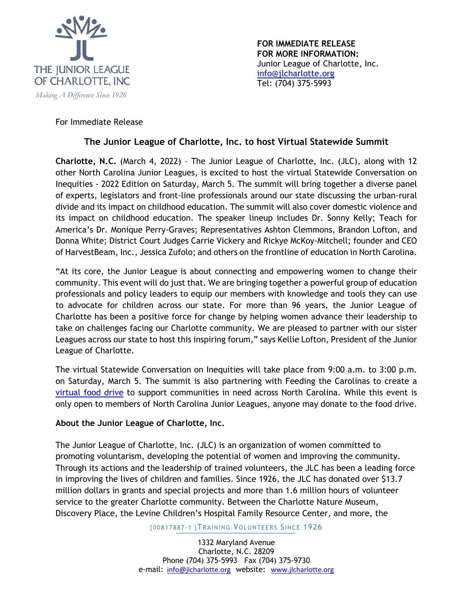

**FOR IMMEDIATE RELEASE FOR MORE INFORMATION:**  Junior League of Charlotte, Inc. info@jlcharlotte.org Tel: (704) 375-5993

## For Immediate Release

## **The Junior League of Charlotte, Inc. to host Virtual Statewide Summit**

**Charlotte, N.C.** (March 4, 2022) – The Junior League of Charlotte, Inc. (JLC), along with 12 other North Carolina Junior Leagues, is excited to host the virtual Statewide Conversation on Inequities - 2022 Edition on Saturday, March 5. The summit will bring together a diverse panel of experts, legislators and front-line professionals around our state discussing the urban-rural divide and its impact on childhood education. The summit will also cover domestic violence and its impact on childhood education. The speaker lineup includes Dr. Sonny Kelly; Teach for America's Dr. Monique Perry-Graves; Representatives Ashton Clemmons, Brandon Lofton, and Donna White; District Court Judges Carrie Vickery and Rickye McKoy-Mitchell; founder and CEO of HarvestBeam, Inc., Jessica Zufolo; and others on the frontline of education in North Carolina.

"At its core, the Junior League is about connecting and empowering women to change their community. This event will do just that. We are bringing together a powerful group of education professionals and policy leaders to equip our members with knowledge and tools they can use to advocate for children across our state. For more than 96 years, the Junior League of Charlotte has been a positive force for change by helping women advance their leadership to take on challenges facing our Charlotte community. We are pleased to partner with our sister Leagues across our state to host this inspiring forum," says Kellie Lofton, President of the Junior League of Charlotte.

The virtual Statewide Conversation on Inequities will take place from 9:00 a.m. to 3:00 p.m. on Saturday, March 5. The summit is also partnering with Feeding the Carolinas to create a virtual food drive to support communities in need across North Carolina. While this event is only open to members of North Carolina Junior Leagues, anyone may donate to the food drive.

## **About the Junior League of Charlotte, Inc.**

The Junior League of Charlotte, Inc. (JLC) is an organization of women committed to promoting voluntarism, developing the potential of women and improving the community. Through its actions and the leadership of trained volunteers, the JLC has been a leading force in improving the lives of children and families. Since 1926, the JLC has donated over \$13.7 million dollars in grants and special projects and more than 1.6 million hours of volunteer service to the greater Charlotte community. Between the Charlotte Nature Museum, Discovery Place, the Levine Children's Hospital Family Resource Center, and more, the

{00817887-1 }TRAINING VOLUNTEERS SINCE 1926

1332 Maryland Avenue Charlotte, N.C. 28209 Phone (704) 375-5993 Fax (704) 375-9730 e-mail: info@jlcharlotte.org website: www.jlcharlotte.org